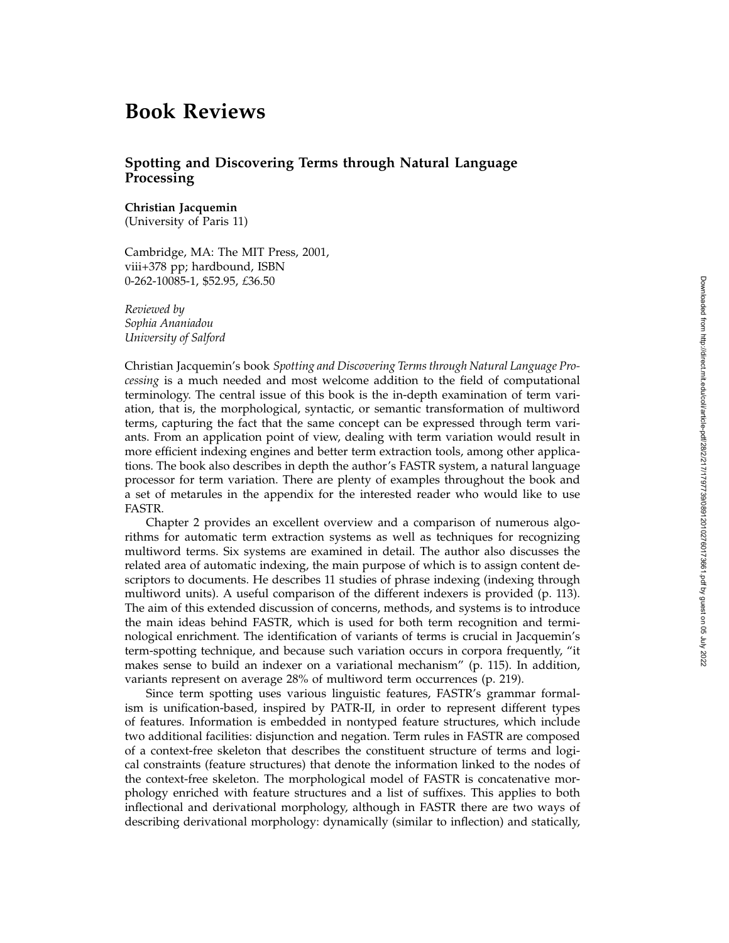## **Book Reviews**

## **Spotting and Discovering Terms through Natural Language Processing**

## **Christian Jacquemin**

(University of Paris 11)

Cambridge, MA: The MIT Press, 2001, viii+378 pp; hardbound, ISBN 0-262-10085-1, \$52.95, *£*36.50

*Reviewed by Sophia Ananiadou University of Salford*

Christian Jacquemin's book *Spotting and Discovering Terms through Natural Language Processing* is a much needed and most welcome addition to the field of computational terminology. The central issue of this book is the in-depth examination of term variation, that is, the morphological, syntactic, or semantic transformation of multiword terms, capturing the fact that the same concept can be expressed through term variants. From an application point of view, dealing with term variation would result in more efficient indexing engines and better term extraction tools, among other applications. The book also describes in depth the author's FASTR system, a natural language processor for term variation. There are plenty of examples throughout the book and a set of metarules in the appendix for the interested reader who would like to use FASTR.

Chapter 2 provides an excellent overview and a comparison of numerous algorithms for automatic term extraction systems as well as techniques for recognizing multiword terms. Six systems are examined in detail. The author also discusses the related area of automatic indexing, the main purpose of which is to assign content descriptors to documents. He describes 11 studies of phrase indexing (indexing through multiword units). A useful comparison of the different indexers is provided (p. 113). The aim of this extended discussion of concerns, methods, and systems is to introduce the main ideas behind FASTR, which is used for both term recognition and terminological enrichment. The identification of variants of terms is crucial in Jacquemin's term-spotting technique, and because such variation occurs in corpora frequently, "it makes sense to build an indexer on a variational mechanism" (p. 115). In addition, variants represent on average 28% of multiword term occurrences (p. 219).

Since term spotting uses various linguistic features, FASTR's grammar formalism is unification-based, inspired by PATR-II, in order to represent different types of features. Information is embedded in nontyped feature structures, which include two additional facilities: disjunction and negation. Term rules in FASTR are composed of a context-free skeleton that describes the constituent structure of terms and logical constraints (feature structures) that denote the information linked to the nodes of the context-free skeleton. The morphological model of FASTR is concatenative morphology enriched with feature structures and a list of suffixes. This applies to both inflectional and derivational morphology, although in FASTR there are two ways of describing derivational morphology: dynamically (similar to inflection) and statically,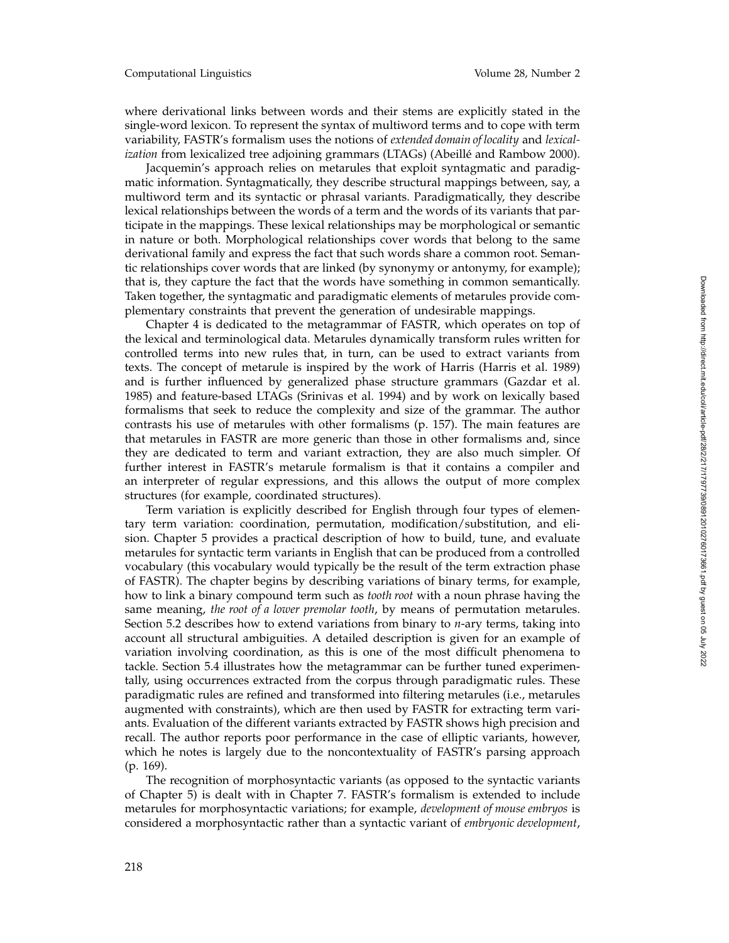where derivational links between words and their stems are explicitly stated in the single-word lexicon. To represent the syntax of multiword terms and to cope with term variability, FASTR's formalism uses the notions of *extended domain of locality* and *lexicalization* from lexicalized tree adjoining grammars (LTAGs) (Abeillé and Rambow 2000).

Jacquemin's approach relies on metarules that exploit syntagmatic and paradigmatic information. Syntagmatically, they describe structural mappings between, say, a multiword term and its syntactic or phrasal variants. Paradigmatically, they describe lexical relationships between the words of a term and the words of its variants that participate in the mappings. These lexical relationships may be morphological or semantic in nature or both. Morphological relationships cover words that belong to the same derivational family and express the fact that such words share a common root. Semantic relationships cover words that are linked (by synonymy or antonymy, for example); that is, they capture the fact that the words have something in common semantically. Taken together, the syntagmatic and paradigmatic elements of metarules provide complementary constraints that prevent the generation of undesirable mappings.

Chapter 4 is dedicated to the metagrammar of FASTR, which operates on top of the lexical and terminological data. Metarules dynamically transform rules written for controlled terms into new rules that, in turn, can be used to extract variants from texts. The concept of metarule is inspired by the work of Harris (Harris et al. 1989) and is further influenced by generalized phase structure grammars (Gazdar et al. 1985) and feature-based LTAGs (Srinivas et al. 1994) and by work on lexically based formalisms that seek to reduce the complexity and size of the grammar. The author contrasts his use of metarules with other formalisms (p. 157). The main features are that metarules in FASTR are more generic than those in other formalisms and, since they are dedicated to term and variant extraction, they are also much simpler. Of further interest in FASTR's metarule formalism is that it contains a compiler and an interpreter of regular expressions, and this allows the output of more complex structures (for example, coordinated structures).

Term variation is explicitly described for English through four types of elementary term variation: coordination, permutation, modification/substitution, and elision. Chapter 5 provides a practical description of how to build, tune, and evaluate metarules for syntactic term variants in English that can be produced from a controlled vocabulary (this vocabulary would typically be the result of the term extraction phase of FASTR). The chapter begins by describing variations of binary terms, for example, how to link a binary compound term such as *tooth root* with a noun phrase having the same meaning, *the root of a lower premolar tooth*, by means of permutation metarules. Section 5.2 describes how to extend variations from binary to *n*-ary terms, taking into account all structural ambiguities. A detailed description is given for an example of variation involving coordination, as this is one of the most difficult phenomena to tackle. Section 5.4 illustrates how the metagrammar can be further tuned experimentally, using occurrences extracted from the corpus through paradigmatic rules. These paradigmatic rules are refined and transformed into filtering metarules (i.e., metarules augmented with constraints), which are then used by FASTR for extracting term variants. Evaluation of the different variants extracted by FASTR shows high precision and recall. The author reports poor performance in the case of elliptic variants, however, which he notes is largely due to the noncontextuality of FASTR's parsing approach (p. 169).

The recognition of morphosyntactic variants (as opposed to the syntactic variants of Chapter 5) is dealt with in Chapter 7. FASTR's formalism is extended to include metarules for morphosyntactic variations; for example, *development of mouse embryos* is considered a morphosyntactic rather than a syntactic variant of *embryonic development* ,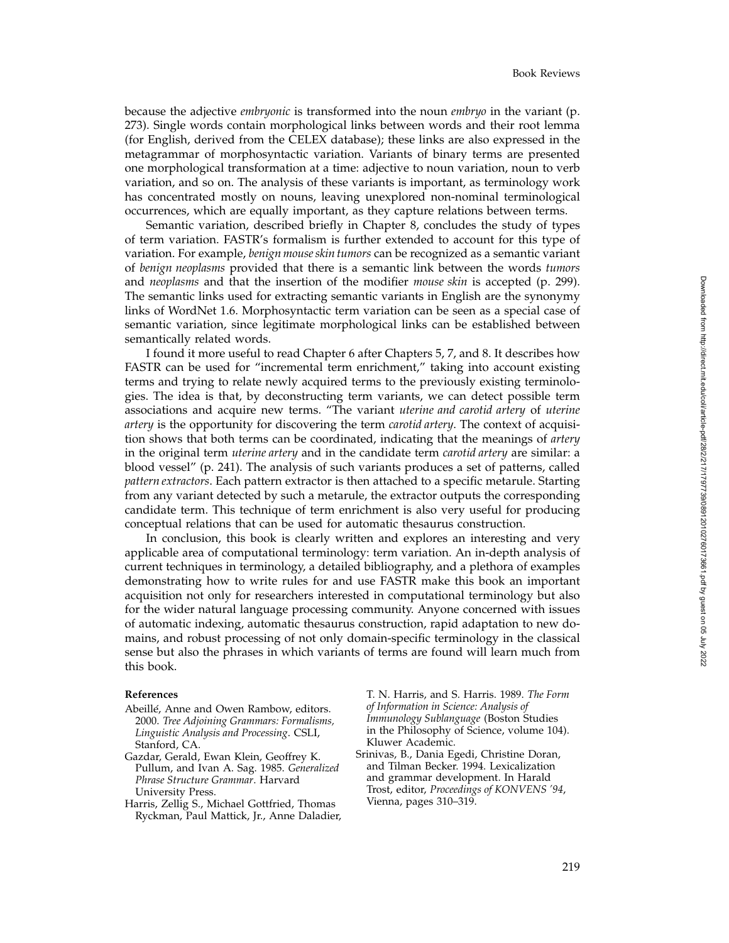because the adjective *embryonic* is transformed into the noun *embryo* in the variant (p. 273). Single words contain morphological links between words and their root lemma (for English, derived from the CELEX database); these links are also expressed in the metagrammar of morphosyntactic variation. Variants of binary terms are presented one morphological transformation at a time: adjective to noun variation, noun to verb variation, and so on. The analysis of these variants is important, as terminology work has concentrated mostly on nouns, leaving unexplored non-nominal terminological occurrences, which are equally important, as they capture relations between terms.

Semantic variation, described briefly in Chapter 8, concludes the study of types of term variation. FASTR's formalism is further extended to account for this type of variation. For example, *benign mouse skin tumors* can be recognized as a semantic variant of *benign neoplasms* provided that there is a semantic link between the words *tumors* and *neoplasms* and that the insertion of the modifier *mouse skin* is accepted (p. 299). The semantic links used for extracting semantic variants in English are the synonymy links of WordNet 1.6. Morphosyntactic term variation can be seen as a special case of semantic variation, since legitimate morphological links can be established between semantically related words.

I found it more useful to read Chapter 6 after Chapters 5, 7, and 8. It describes how FASTR can be used for "incremental term enrichment," taking into account existing terms and trying to relate newly acquired terms to the previously existing terminologies. The idea is that, by deconstructing term variants, we can detect possible term associations and acquire new terms. "The variant *uterine and carotid artery* of *uterine artery* is the opportunity for discovering the term *carotid artery*. The context of acquisition shows that both terms can be coordinated, indicating that the meanings of *artery* in the original term *uterine artery* and in the candidate term *carotid artery* are similar: a blood vessel" (p. 241). The analysis of such variants produces a set of patterns, called *pattern extractors*. Each pattern extractor is then attached to a specific metarule. Starting from any variant detected by such a metarule, the extractor outputs the corresponding candidate term. This technique of term enrichment is also very useful for producing conceptual relations that can be used for automatic thesaurus construction.

In conclusion, this book is clearly written and explores an interesting and very applicable area of computational terminology: term variation. An in-depth analysis of current techniques in terminology, a detailed bibliography, and a plethora of examples demonstrating how to write rules for and use FASTR make this book an important acquisition not only for researchers interested in computational terminology but also for the wider natural language processing community. Anyone concerned with issues of automatic indexing, automatic thesaurus construction, rapid adaptation to new domains, and robust processing of not only domain-specific terminology in the classical sense but also the phrases in which variants of terms are found will learn much from this book.

## **References**

- Abeillé, Anne and Owen Rambow, editors. 2000. *Tree Adjoining Grammars: Formalisms, Linguistic Analysis and Processing*. CSLI, Stanford, CA.
- Gazdar, Gerald, Ewan Klein, Geoffrey K. Pullum, and Ivan A. Sag. 1985. *Generalized Phrase Structure Grammar*. Harvard University Press.
- Harris, Zellig S., Michael Gottfried, Thomas Ryckman, Paul Mattick, Jr., Anne Daladier,

T. N. Harris, and S. Harris. 1989. *The Form of Information in Science: Analysis of Immunology Sublanguage* (Boston Studies in the Philosophy of Science, volume 104). Kluwer Academic.

Srinivas, B., Dania Egedi, Christine Doran, and Tilman Becker. 1994. Lexicalization and grammar development. In Harald Trost, editor, *Proceedings of KONVENS '94* , Vienna, pages 310–319.